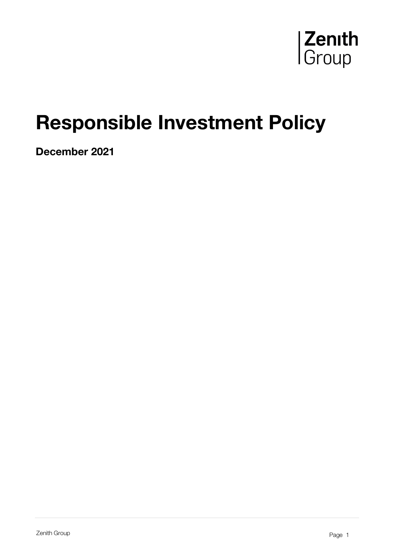

# Responsible Investment Policy

December 2021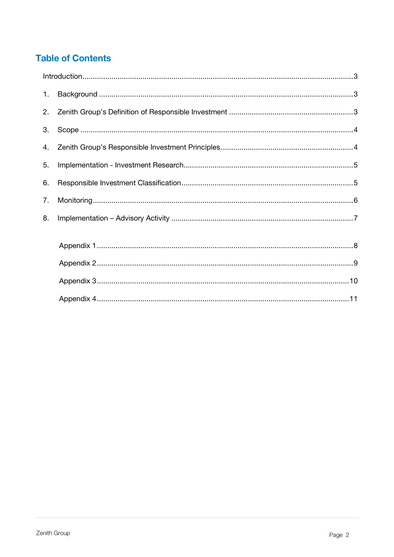# **Table of Contents**

| 1. |  |
|----|--|
| 2. |  |
| 3. |  |
| 4. |  |
| 5. |  |
| 6. |  |
| 7. |  |
| 8. |  |
|    |  |
|    |  |
|    |  |
|    |  |
|    |  |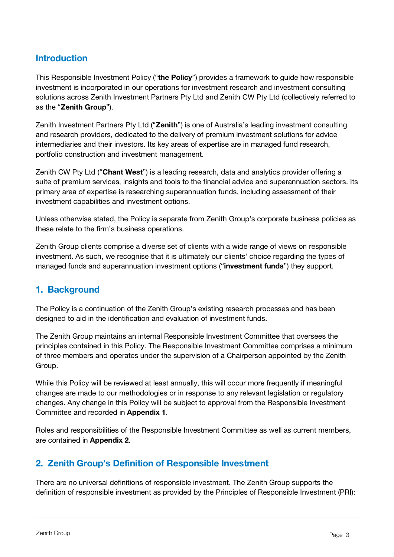## <span id="page-2-0"></span>Introduction

This Responsible Investment Policy ("the Policy") provides a framework to quide how responsible investment is incorporated in our operations for investment research and investment consulting solutions across Zenith Investment Partners Pty Ltd and Zenith CW Pty Ltd (collectively referred to as the "Zenith Group").

Zenith Investment Partners Pty Ltd ("Zenith") is one of Australia's leading investment consulting and research providers, dedicated to the delivery of premium investment solutions for advice intermediaries and their investors. Its key areas of expertise are in managed fund research, portfolio construction and investment management.

Zenith CW Pty Ltd ("Chant West") is a leading research, data and analytics provider offering a suite of premium services, insights and tools to the financial advice and superannuation sectors. Its primary area of expertise is researching superannuation funds, including assessment of their investment capabilities and investment options.

Unless otherwise stated, the Policy is separate from Zenith Group's corporate business policies as these relate to the firm's business operations.

Zenith Group clients comprise a diverse set of clients with a wide range of views on responsible investment. As such, we recognise that it is ultimately our clients' choice regarding the types of managed funds and superannuation investment options ("investment funds") they support.

## <span id="page-2-1"></span>1. Background

The Policy is a continuation of the Zenith Group's existing research processes and has been designed to aid in the identification and evaluation of investment funds.

The Zenith Group maintains an internal Responsible Investment Committee that oversees the principles contained in this Policy. The Responsible Investment Committee comprises a minimum of three members and operates under the supervision of a Chairperson appointed by the Zenith Group.

While this Policy will be reviewed at least annually, this will occur more frequently if meaningful changes are made to our methodologies or in response to any relevant legislation or regulatory changes. Any change in this Policy will be subject to approval from the Responsible Investment Committee and recorded in Appendix 1.

Roles and responsibilities of the Responsible Investment Committee as well as current members, are contained in Appendix 2.

## <span id="page-2-2"></span>2. Zenith Group's Definition of Responsible Investment

There are no universal definitions of responsible investment. The Zenith Group supports the definition of responsible investment as provided by the Principles of Responsible Investment (PRI):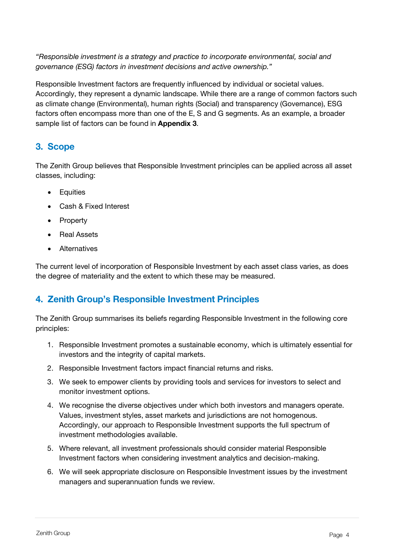*"Responsible investment is a strategy and practice to incorporate environmental, social and governance (ESG) factors in investment decisions and active ownership."*

Responsible Investment factors are frequently influenced by individual or societal values. Accordingly, they represent a dynamic landscape. While there are a range of common factors such as climate change (Environmental), human rights (Social) and transparency (Governance), ESG factors often encompass more than one of the E, S and G segments. As an example, a broader sample list of factors can be found in **Appendix 3**.

## <span id="page-3-0"></span>3. Scope

The Zenith Group believes that Responsible Investment principles can be applied across all asset classes, including:

- Equities
- Cash & Fixed Interest
- Property
- Real Assets
- Alternatives

The current level of incorporation of Responsible Investment by each asset class varies, as does the degree of materiality and the extent to which these may be measured.

## <span id="page-3-1"></span>4. Zenith Group's Responsible Investment Principles

The Zenith Group summarises its beliefs regarding Responsible Investment in the following core principles:

- 1. Responsible Investment promotes a sustainable economy, which is ultimately essential for investors and the integrity of capital markets.
- 2. Responsible Investment factors impact financial returns and risks.
- 3. We seek to empower clients by providing tools and services for investors to select and monitor investment options.
- 4. We recognise the diverse objectives under which both investors and managers operate. Values, investment styles, asset markets and jurisdictions are not homogenous. Accordingly, our approach to Responsible Investment supports the full spectrum of investment methodologies available.
- 5. Where relevant, all investment professionals should consider material Responsible Investment factors when considering investment analytics and decision-making.
- 6. We will seek appropriate disclosure on Responsible Investment issues by the investment managers and superannuation funds we review.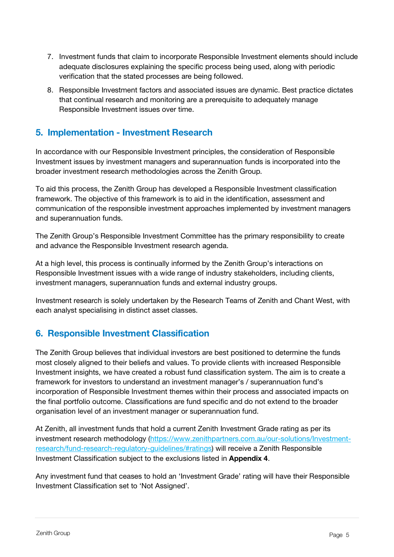- 7. Investment funds that claim to incorporate Responsible Investment elements should include adequate disclosures explaining the specific process being used, along with periodic verification that the stated processes are being followed.
- 8. Responsible Investment factors and associated issues are dynamic. Best practice dictates that continual research and monitoring are a prerequisite to adequately manage Responsible Investment issues over time.

## <span id="page-4-0"></span>5. Implementation - Investment Research

In accordance with our Responsible Investment principles, the consideration of Responsible Investment issues by investment managers and superannuation funds is incorporated into the broader investment research methodologies across the Zenith Group.

To aid this process, the Zenith Group has developed a Responsible Investment classification framework. The objective of this framework is to aid in the identification, assessment and communication of the responsible investment approaches implemented by investment managers and superannuation funds.

The Zenith Group's Responsible Investment Committee has the primary responsibility to create and advance the Responsible Investment research agenda.

At a high level, this process is continually informed by the Zenith Group's interactions on Responsible Investment issues with a wide range of industry stakeholders, including clients, investment managers, superannuation funds and external industry groups.

Investment research is solely undertaken by the Research Teams of Zenith and Chant West, with each analyst specialising in distinct asset classes.

## <span id="page-4-1"></span>6. Responsible Investment Classification

The Zenith Group believes that individual investors are best positioned to determine the funds most closely aligned to their beliefs and values. To provide clients with increased Responsible Investment insights, we have created a robust fund classification system. The aim is to create a framework for investors to understand an investment manager's / superannuation fund's incorporation of Responsible Investment themes within their process and associated impacts on the final portfolio outcome. Classifications are fund specific and do not extend to the broader organisation level of an investment manager or superannuation fund.

At Zenith, all investment funds that hold a current Zenith Investment Grade rating as per its investment research methodology [\(https://www.zenithpartners.com.au/our-solutions/Investment](https://www.zenithpartners.com.au/our-solutions/Investment-research/fund-research-regulatory-guidelines/#ratings)[research/fund-research-regulatory-guidelines/#ratings\)](https://www.zenithpartners.com.au/our-solutions/Investment-research/fund-research-regulatory-guidelines/#ratings) will receive a Zenith Responsible Investment Classification subject to the exclusions listed in Appendix 4.

Any investment fund that ceases to hold an 'Investment Grade' rating will have their Responsible Investment Classification set to 'Not Assigned'.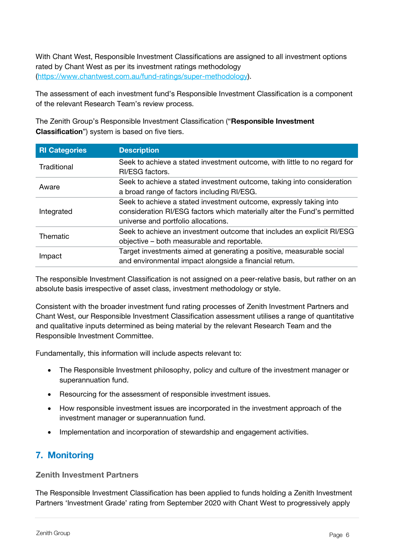With Chant West, Responsible Investment Classifications are assigned to all investment options rated by Chant West as per its investment ratings methodology [\(https://www.chantwest.com.au/fund-ratings/super-methodology\)](https://www.chantwest.com.au/fund-ratings/super-methodology).

The assessment of each investment fund's Responsible Investment Classification is a component of the relevant Research Team's review process.

The Zenith Group's Responsible Investment Classification ("Responsible Investment Classification") system is based on five tiers.

| <b>RI Categories</b> | <b>Description</b>                                                        |
|----------------------|---------------------------------------------------------------------------|
| Traditional          | Seek to achieve a stated investment outcome, with little to no regard for |
|                      | RI/ESG factors.                                                           |
| Aware                | Seek to achieve a stated investment outcome, taking into consideration    |
|                      | a broad range of factors including RI/ESG.                                |
|                      | Seek to achieve a stated investment outcome, expressly taking into        |
| Integrated           | consideration RI/ESG factors which materially alter the Fund's permitted  |
|                      | universe and portfolio allocations.                                       |
| Thematic             | Seek to achieve an investment outcome that includes an explicit RI/ESG    |
|                      | objective – both measurable and reportable.                               |
|                      | Target investments aimed at generating a positive, measurable social      |
| Impact               | and environmental impact alongside a financial return.                    |

The responsible Investment Classification is not assigned on a peer-relative basis, but rather on an absolute basis irrespective of asset class, investment methodology or style.

Consistent with the broader investment fund rating processes of Zenith Investment Partners and Chant West, our Responsible Investment Classification assessment utilises a range of quantitative and qualitative inputs determined as being material by the relevant Research Team and the Responsible Investment Committee.

Fundamentally, this information will include aspects relevant to:

- The Responsible Investment philosophy, policy and culture of the investment manager or superannuation fund.
- Resourcing for the assessment of responsible investment issues.
- How responsible investment issues are incorporated in the investment approach of the investment manager or superannuation fund.
- Implementation and incorporation of stewardship and engagement activities.

## <span id="page-5-0"></span>7. Monitoring

Zenith Investment Partners

The Responsible Investment Classification has been applied to funds holding a Zenith Investment Partners 'Investment Grade' rating from September 2020 with Chant West to progressively apply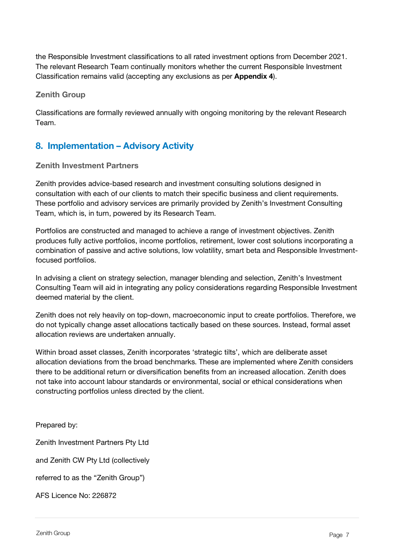the Responsible Investment classifications to all rated investment options from December 2021. The relevant Research Team continually monitors whether the current Responsible Investment Classification remains valid (accepting any exclusions as per Appendix 4).

#### Zenith Group

Classifications are formally reviewed annually with ongoing monitoring by the relevant Research Team.

## <span id="page-6-0"></span>8. Implementation – Advisory Activity

#### Zenith Investment Partners

Zenith provides advice-based research and investment consulting solutions designed in consultation with each of our clients to match their specific business and client requirements. These portfolio and advisory services are primarily provided by Zenith's Investment Consulting Team, which is, in turn, powered by its Research Team.

Portfolios are constructed and managed to achieve a range of investment objectives. Zenith produces fully active portfolios, income portfolios, retirement, lower cost solutions incorporating a combination of passive and active solutions, low volatility, smart beta and Responsible Investmentfocused portfolios.

In advising a client on strategy selection, manager blending and selection, Zenith's Investment Consulting Team will aid in integrating any policy considerations regarding Responsible Investment deemed material by the client.

Zenith does not rely heavily on top-down, macroeconomic input to create portfolios. Therefore, we do not typically change asset allocations tactically based on these sources. Instead, formal asset allocation reviews are undertaken annually.

Within broad asset classes, Zenith incorporates 'strategic tilts', which are deliberate asset allocation deviations from the broad benchmarks. These are implemented where Zenith considers there to be additional return or diversification benefits from an increased allocation. Zenith does not take into account labour standards or environmental, social or ethical considerations when constructing portfolios unless directed by the client.

Prepared by:

Zenith Investment Partners Pty Ltd and Zenith CW Pty Ltd (collectively referred to as the "Zenith Group") AFS Licence No: 226872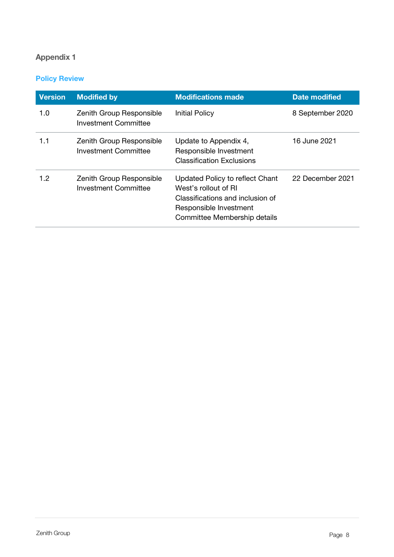#### <span id="page-7-0"></span>Policy Review

| <b>Version</b> | <b>Modified by</b>                               | <b>Modifications made</b>                                                                                                                             | Date modified    |
|----------------|--------------------------------------------------|-------------------------------------------------------------------------------------------------------------------------------------------------------|------------------|
| 1.0            | Zenith Group Responsible<br>Investment Committee | <b>Initial Policy</b>                                                                                                                                 | 8 September 2020 |
| 1.1            | Zenith Group Responsible<br>Investment Committee | Update to Appendix 4,<br>Responsible Investment<br><b>Classification Exclusions</b>                                                                   | 16 June 2021     |
| 1.2            | Zenith Group Responsible<br>Investment Committee | Updated Policy to reflect Chant<br>West's rollout of RI<br>Classifications and inclusion of<br>Responsible Investment<br>Committee Membership details | 22 December 2021 |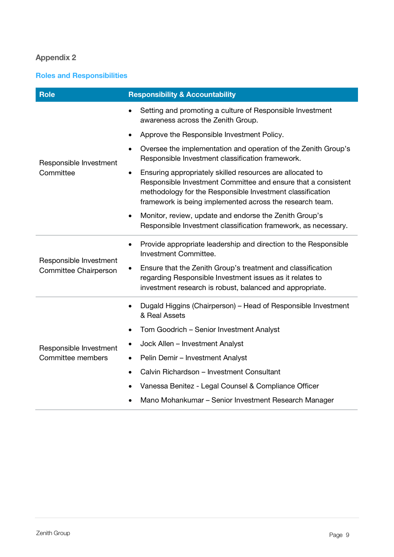#### <span id="page-8-0"></span>Roles and Responsibilities

| <b>Role</b>                                     | <b>Responsibility &amp; Accountability</b>                                                                                                                                                                                                                       |  |  |  |
|-------------------------------------------------|------------------------------------------------------------------------------------------------------------------------------------------------------------------------------------------------------------------------------------------------------------------|--|--|--|
|                                                 | Setting and promoting a culture of Responsible Investment<br>awareness across the Zenith Group.                                                                                                                                                                  |  |  |  |
|                                                 | Approve the Responsible Investment Policy.<br>$\bullet$                                                                                                                                                                                                          |  |  |  |
| Responsible Investment                          | Oversee the implementation and operation of the Zenith Group's<br>$\bullet$<br>Responsible Investment classification framework.                                                                                                                                  |  |  |  |
| Committee                                       | Ensuring appropriately skilled resources are allocated to<br>$\bullet$<br>Responsible Investment Committee and ensure that a consistent<br>methodology for the Responsible Investment classification<br>framework is being implemented across the research team. |  |  |  |
|                                                 | Monitor, review, update and endorse the Zenith Group's<br>٠<br>Responsible Investment classification framework, as necessary.                                                                                                                                    |  |  |  |
|                                                 | Provide appropriate leadership and direction to the Responsible<br>$\bullet$<br><b>Investment Committee.</b>                                                                                                                                                     |  |  |  |
| Responsible Investment<br>Committee Chairperson | Ensure that the Zenith Group's treatment and classification<br>regarding Responsible Investment issues as it relates to<br>investment research is robust, balanced and appropriate.                                                                              |  |  |  |
|                                                 | Dugald Higgins (Chairperson) – Head of Responsible Investment<br>$\bullet$<br>& Real Assets                                                                                                                                                                      |  |  |  |
|                                                 | Tom Goodrich - Senior Investment Analyst                                                                                                                                                                                                                         |  |  |  |
| Responsible Investment                          | Jock Allen - Investment Analyst                                                                                                                                                                                                                                  |  |  |  |
| Committee members                               | Pelin Demir - Investment Analyst<br>$\bullet$                                                                                                                                                                                                                    |  |  |  |
|                                                 | Calvin Richardson - Investment Consultant<br>$\bullet$                                                                                                                                                                                                           |  |  |  |
|                                                 | Vanessa Benitez - Legal Counsel & Compliance Officer                                                                                                                                                                                                             |  |  |  |
|                                                 | Mano Mohankumar - Senior Investment Research Manager<br>$\bullet$                                                                                                                                                                                                |  |  |  |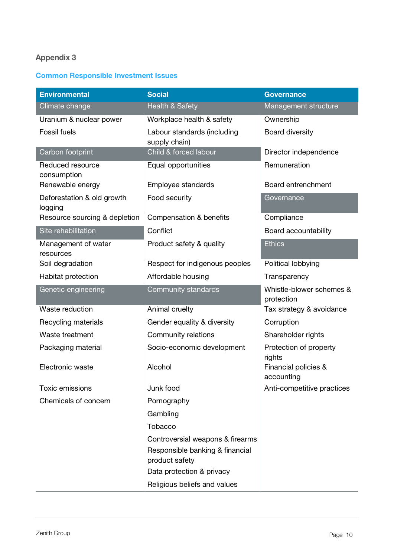#### <span id="page-9-0"></span>Common Responsible Investment Issues

| <b>Environmental</b>                  | <b>Social</b>                                     | <b>Governance</b>                      |
|---------------------------------------|---------------------------------------------------|----------------------------------------|
| Climate change                        | <b>Health &amp; Safety</b>                        | Management structure                   |
| Uranium & nuclear power               | Workplace health & safety                         | Ownership                              |
| <b>Fossil fuels</b>                   | Labour standards (including<br>supply chain)      | Board diversity                        |
| Carbon footprint                      | Child & forced labour                             | Director independence                  |
| Reduced resource<br>consumption       | Equal opportunities                               | Remuneration                           |
| Renewable energy                      | Employee standards                                | Board entrenchment                     |
| Deforestation & old growth<br>logging | Food security                                     | Governance                             |
| Resource sourcing & depletion         | Compensation & benefits                           | Compliance                             |
| Site rehabilitation                   | Conflict                                          | Board accountability                   |
| Management of water<br>resources      | Product safety & quality                          | <b>Ethics</b>                          |
| Soil degradation                      | Respect for indigenous peoples                    | Political lobbying                     |
| Habitat protection                    | Affordable housing                                | Transparency                           |
| Genetic engineering                   | Community standards                               | Whistle-blower schemes &<br>protection |
| Waste reduction                       | Animal cruelty                                    | Tax strategy & avoidance               |
| Recycling materials                   | Gender equality & diversity                       | Corruption                             |
| Waste treatment                       | Community relations                               | Shareholder rights                     |
| Packaging material                    | Socio-economic development                        | Protection of property<br>rights       |
| Electronic waste                      | Alcohol                                           | Financial policies &<br>accounting     |
| <b>Toxic emissions</b>                | Junk food                                         | Anti-competitive practices             |
| Chemicals of concern                  | Pornography                                       |                                        |
|                                       | Gambling                                          |                                        |
|                                       | Tobacco                                           |                                        |
|                                       | Controversial weapons & firearms                  |                                        |
|                                       | Responsible banking & financial<br>product safety |                                        |
|                                       | Data protection & privacy                         |                                        |
|                                       | Religious beliefs and values                      |                                        |